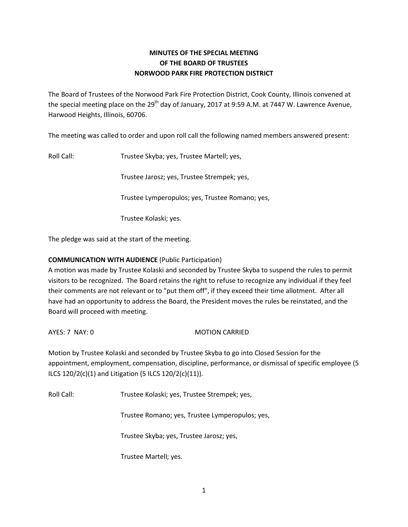## **MINUTES OF THE SPECIAL MEETING OF THE BOARD OF TRUSTEES NORWOOD PARK FIRE PROTECTION DISTRICT**

The Board of Trustees of the Norwood Park Fire Protection District, Cook County, Illinois convened at the special meeting place on the 29<sup>th</sup> day of January, 2017 at 9:59 A.M. at 7447 W. Lawrence Avenue, Harwood Heights, Illinois, 60706.

The meeting was called to order and upon roll call the following named members answered present:

Roll Call: Trustee Skyba; yes, Trustee Martell; yes,

Trustee Jarosz; yes, Trustee Strempek; yes,

Trustee Lymperopulos; yes, Trustee Romano; yes,

Trustee Kolaski; yes.

The pledge was said at the start of the meeting.

## **COMMUNICATION WITH AUDIENCE** (Public Participation)

A motion was made by Trustee Kolaski and seconded by Trustee Skyba to suspend the rules to permit visitors to be recognized. The Board retains the right to refuse to recognize any individual if they feel their comments are not relevant or to "put them off", if they exceed their time allotment. After all have had an opportunity to address the Board, the President moves the rules be reinstated, and the Board will proceed with meeting.

AYES: 7 NAY: 0 MOTION CARRIED

Motion by Trustee Kolaski and seconded by Trustee Skyba to go into Closed Session for the appointment, employment, compensation, discipline, performance, or dismissal of specific employee (5 ILCS 120/2(c)(1) and Litigation (5 ILCS 120/2(c)(11)).

Roll Call: Trustee Kolaski; yes, Trustee Strempek; yes,

Trustee Romano; yes, Trustee Lymperopulos; yes,

Trustee Skyba; yes, Trustee Jarosz; yes,

Trustee Martell; yes.